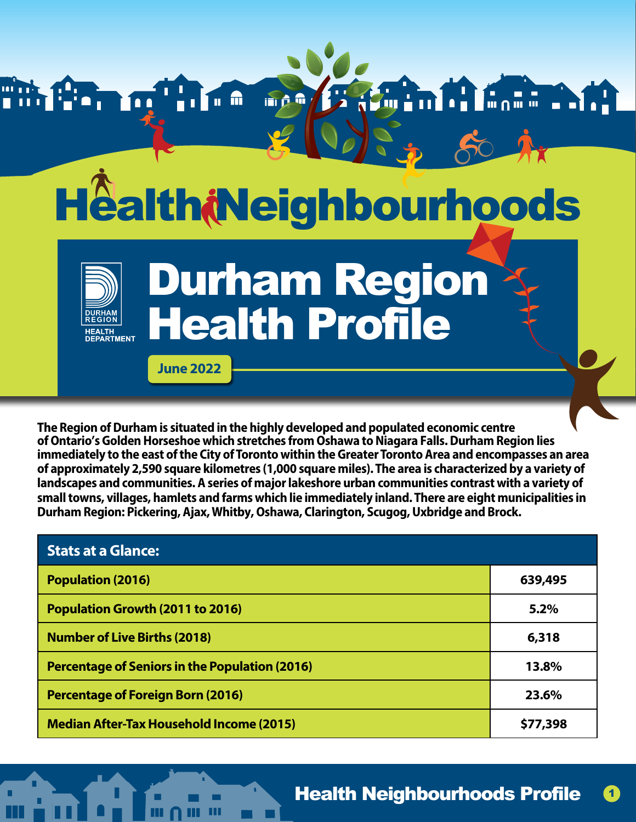

**The Region of Durham is situated in the highly developed and populated economic centre of Ontario's Golden Horseshoe which stretches from Oshawa to Niagara Falls. Durham Region lies immediately to the east of the City ofToronto within the Greater Toronto Area and encompasses an area of approximately 2,590 square kilometres (1,000 square miles).The area is characterized by a variety of landscapes and communities. A series of major lakeshore urban communities contrast with a variety of small towns, villages, hamlets and farms which lie immediately inland. There are eight municipalities in Durham Region: Pickering, Ajax,Whitby, Oshawa, Clarington, Scugog, Uxbridge and Brock.**

| <b>Stats at a Glance:</b>                             |          |
|-------------------------------------------------------|----------|
| <b>Population (2016)</b>                              | 639,495  |
| <b>Population Growth (2011 to 2016)</b>               | 5.2%     |
| <b>Number of Live Births (2018)</b>                   | 6,318    |
| <b>Percentage of Seniors in the Population (2016)</b> | 13.8%    |
| <b>Percentage of Foreign Born (2016)</b>              | 23.6%    |
| <b>Median After-Tax Household Income (2015)</b>       | \$77,398 |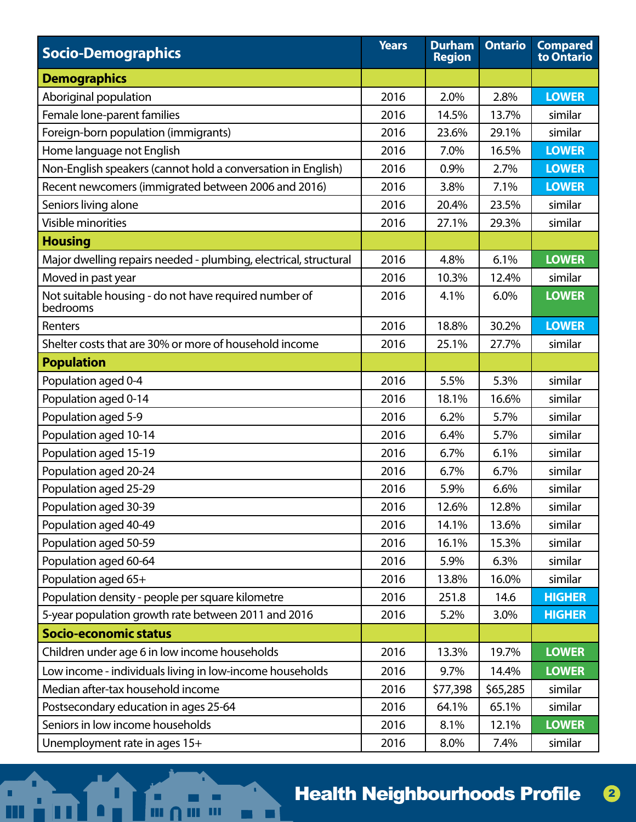| <b>Socio-Demographics</b>                                         | <b>Years</b> | <b>Durham</b><br><b>Region</b> | <b>Ontario</b> | <b>Compared</b><br>to Ontario |
|-------------------------------------------------------------------|--------------|--------------------------------|----------------|-------------------------------|
| <b>Demographics</b>                                               |              |                                |                |                               |
| Aboriginal population                                             | 2016         | 2.0%                           | 2.8%           | <b>LOWER</b>                  |
| Female lone-parent families                                       | 2016         | 14.5%                          | 13.7%          | similar                       |
| Foreign-born population (immigrants)                              | 2016         | 23.6%                          | 29.1%          | similar                       |
| Home language not English                                         | 2016         | 7.0%                           | 16.5%          | <b>LOWER</b>                  |
| Non-English speakers (cannot hold a conversation in English)      | 2016         | 0.9%                           | 2.7%           | <b>LOWER</b>                  |
| Recent newcomers (immigrated between 2006 and 2016)               | 2016         | 3.8%                           | 7.1%           | <b>LOWER</b>                  |
| Seniors living alone                                              | 2016         | 20.4%                          | 23.5%          | similar                       |
| <b>Visible minorities</b>                                         | 2016         | 27.1%                          | 29.3%          | similar                       |
| <b>Housing</b>                                                    |              |                                |                |                               |
| Major dwelling repairs needed - plumbing, electrical, structural  | 2016         | 4.8%                           | 6.1%           | <b>LOWER</b>                  |
| Moved in past year                                                | 2016         | 10.3%                          | 12.4%          | similar                       |
| Not suitable housing - do not have required number of<br>bedrooms | 2016         | 4.1%                           | 6.0%           | <b>LOWER</b>                  |
| Renters                                                           | 2016         | 18.8%                          | 30.2%          | <b>LOWER</b>                  |
| Shelter costs that are 30% or more of household income            | 2016         | 25.1%                          | 27.7%          | similar                       |
| <b>Population</b>                                                 |              |                                |                |                               |
| Population aged 0-4                                               | 2016         | 5.5%                           | 5.3%           | similar                       |
| Population aged 0-14                                              | 2016         | 18.1%                          | 16.6%          | similar                       |
| Population aged 5-9                                               | 2016         | 6.2%                           | 5.7%           | similar                       |
| Population aged 10-14                                             | 2016         | 6.4%                           | 5.7%           | similar                       |
| Population aged 15-19                                             | 2016         | 6.7%                           | 6.1%           | similar                       |
| Population aged 20-24                                             | 2016         | 6.7%                           | 6.7%           | similar                       |
| Population aged 25-29                                             | 2016         | 5.9%                           | 6.6%           | similar                       |
| Population aged 30-39                                             | 2016         | 12.6%                          | 12.8%          | similar                       |
| Population aged 40-49                                             | 2016         | 14.1%                          | 13.6%          | similar                       |
| Population aged 50-59                                             | 2016         | 16.1%                          | 15.3%          | similar                       |
| Population aged 60-64                                             | 2016         | 5.9%                           | 6.3%           | similar                       |
| Population aged 65+                                               | 2016         | 13.8%                          | 16.0%          | similar                       |
| Population density - people per square kilometre                  | 2016         | 251.8                          | 14.6           | <b>HIGHER</b>                 |
| 5-year population growth rate between 2011 and 2016               | 2016         | 5.2%                           | 3.0%           | <b>HIGHER</b>                 |
| <b>Socio-economic status</b>                                      |              |                                |                |                               |
| Children under age 6 in low income households                     | 2016         | 13.3%                          | 19.7%          | <b>LOWER</b>                  |
| Low income - individuals living in low-income households          | 2016         | 9.7%                           | 14.4%          | <b>LOWER</b>                  |
| Median after-tax household income                                 | 2016         | \$77,398                       | \$65,285       | similar                       |
| Postsecondary education in ages 25-64                             | 2016         | 64.1%                          | 65.1%          | similar                       |
| Seniors in low income households                                  | 2016         | 8.1%                           | 12.1%          | <b>LOWER</b>                  |
| Unemployment rate in ages 15+                                     | 2016         | 8.0%                           | 7.4%           | similar                       |

٠

 $\blacksquare$ 

∐

٠

m

ш

m

П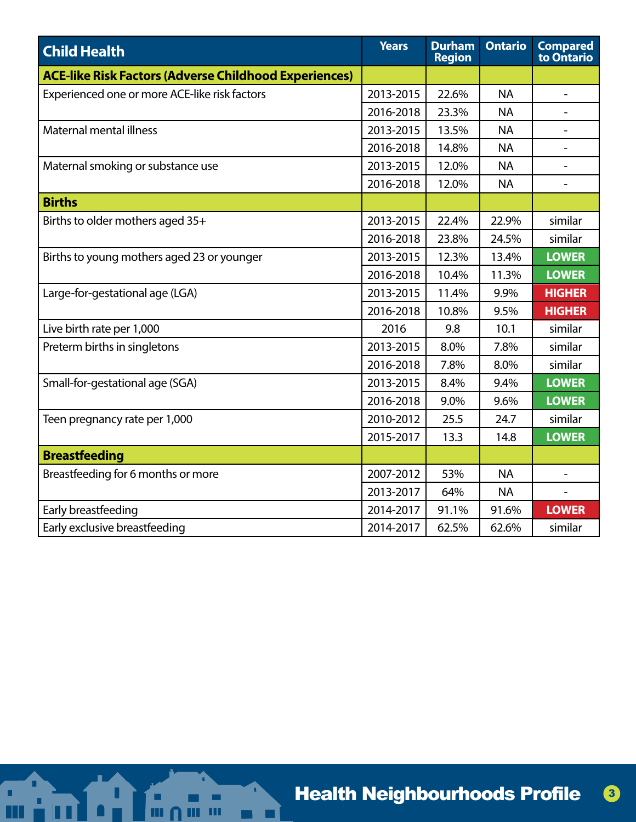| <b>Child Health</b>                                          | <b>Years</b> | <b>Durham</b><br><b>Region</b> | <b>Ontario</b> | <b>Compared</b><br>to Ontario |
|--------------------------------------------------------------|--------------|--------------------------------|----------------|-------------------------------|
| <b>ACE-like Risk Factors (Adverse Childhood Experiences)</b> |              |                                |                |                               |
| Experienced one or more ACE-like risk factors                | 2013-2015    | 22.6%                          | <b>NA</b>      |                               |
|                                                              | 2016-2018    | 23.3%                          | <b>NA</b>      |                               |
| Maternal mental illness                                      | 2013-2015    | 13.5%                          | <b>NA</b>      |                               |
|                                                              | 2016-2018    | 14.8%                          | <b>NA</b>      |                               |
| Maternal smoking or substance use                            | 2013-2015    | 12.0%                          | <b>NA</b>      |                               |
|                                                              | 2016-2018    | 12.0%                          | <b>NA</b>      |                               |
| <b>Births</b>                                                |              |                                |                |                               |
| Births to older mothers aged 35+                             | 2013-2015    | 22.4%                          | 22.9%          | similar                       |
|                                                              | 2016-2018    | 23.8%                          | 24.5%          | similar                       |
| Births to young mothers aged 23 or younger                   | 2013-2015    | 12.3%                          | 13.4%          | <b>LOWER</b>                  |
|                                                              | 2016-2018    | 10.4%                          | 11.3%          | <b>LOWER</b>                  |
| Large-for-gestational age (LGA)                              | 2013-2015    | 11.4%                          | 9.9%           | <b>HIGHER</b>                 |
|                                                              | 2016-2018    | 10.8%                          | 9.5%           | <b>HIGHER</b>                 |
| Live birth rate per 1,000                                    | 2016         | 9.8                            | 10.1           | similar                       |
| Preterm births in singletons                                 | 2013-2015    | 8.0%                           | 7.8%           | similar                       |
|                                                              | 2016-2018    | 7.8%                           | 8.0%           | similar                       |
| Small-for-gestational age (SGA)                              | 2013-2015    | 8.4%                           | 9.4%           | <b>LOWER</b>                  |
|                                                              | 2016-2018    | 9.0%                           | 9.6%           | <b>LOWER</b>                  |
| Teen pregnancy rate per 1,000                                | 2010-2012    | 25.5                           | 24.7           | similar                       |
|                                                              | 2015-2017    | 13.3                           | 14.8           | <b>LOWER</b>                  |
| <b>Breastfeeding</b>                                         |              |                                |                |                               |
| Breastfeeding for 6 months or more                           | 2007-2012    | 53%                            | <b>NA</b>      |                               |
|                                                              | 2013-2017    | 64%                            | <b>NA</b>      |                               |
| Early breastfeeding                                          | 2014-2017    | 91.1%                          | 91.6%          | <b>LOWER</b>                  |
| Early exclusive breastfeeding                                | 2014-2017    | 62.5%                          | 62.6%          | similar                       |

٠

 $\blacksquare$ 

Ш

٠

m

ш

m

П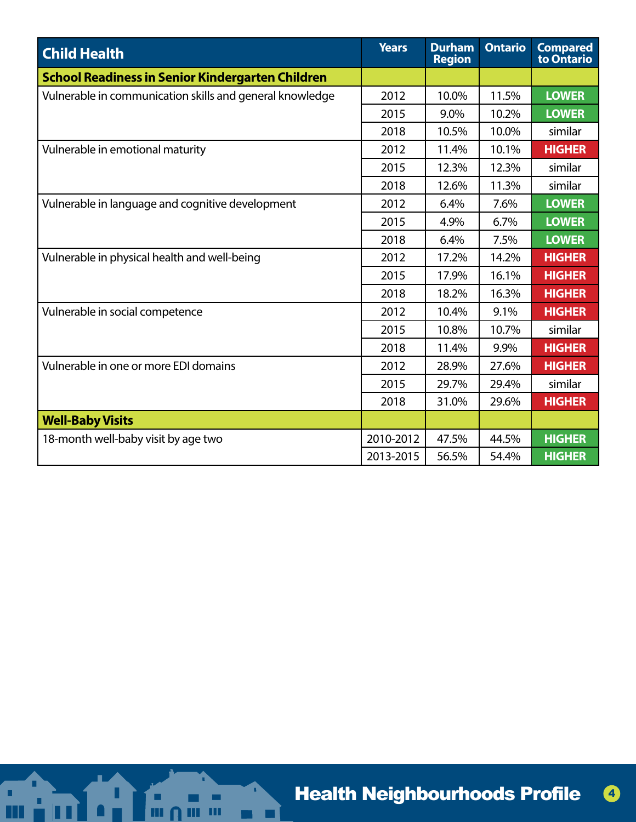| <b>Child Health</b>                                      | <b>Years</b> | <b>Durham</b><br><b>Region</b> | <b>Ontario</b> | <b>Compared</b><br>to Ontario |
|----------------------------------------------------------|--------------|--------------------------------|----------------|-------------------------------|
| <b>School Readiness in Senior Kindergarten Children</b>  |              |                                |                |                               |
| Vulnerable in communication skills and general knowledge | 2012         | 10.0%                          | 11.5%          | <b>LOWER</b>                  |
|                                                          | 2015         | 9.0%                           | 10.2%          | <b>LOWER</b>                  |
|                                                          | 2018         | 10.5%                          | 10.0%          | similar                       |
| Vulnerable in emotional maturity                         | 2012         | 11.4%                          | 10.1%          | <b>HIGHER</b>                 |
|                                                          | 2015         | 12.3%                          | 12.3%          | similar                       |
|                                                          | 2018         | 12.6%                          | 11.3%          | similar                       |
| Vulnerable in language and cognitive development         | 2012         | 6.4%                           | 7.6%           | <b>LOWER</b>                  |
|                                                          | 2015         | 4.9%                           | 6.7%           | <b>LOWER</b>                  |
|                                                          | 2018         | 6.4%                           | 7.5%           | <b>LOWER</b>                  |
| Vulnerable in physical health and well-being             | 2012         | 17.2%                          | 14.2%          | <b>HIGHER</b>                 |
|                                                          | 2015         | 17.9%                          | 16.1%          | <b>HIGHER</b>                 |
|                                                          | 2018         | 18.2%                          | 16.3%          | <b>HIGHER</b>                 |
| Vulnerable in social competence                          | 2012         | 10.4%                          | 9.1%           | <b>HIGHER</b>                 |
|                                                          | 2015         | 10.8%                          | 10.7%          | similar                       |
|                                                          | 2018         | 11.4%                          | 9.9%           | <b>HIGHER</b>                 |
| Vulnerable in one or more EDI domains                    | 2012         | 28.9%                          | 27.6%          | <b>HIGHER</b>                 |
|                                                          | 2015         | 29.7%                          | 29.4%          | similar                       |
|                                                          | 2018         | 31.0%                          | 29.6%          | <b>HIGHER</b>                 |
| <b>Well-Baby Visits</b>                                  |              |                                |                |                               |
| 18-month well-baby visit by age two                      | 2010-2012    | 47.5%                          | 44.5%          | <b>HIGHER</b>                 |
|                                                          | 2013-2015    | 56.5%                          | 54.4%          | <b>HIGHER</b>                 |

Ō,

 $\blacksquare$ 

∐

٠

 $\mathbf{m}$ 

ш m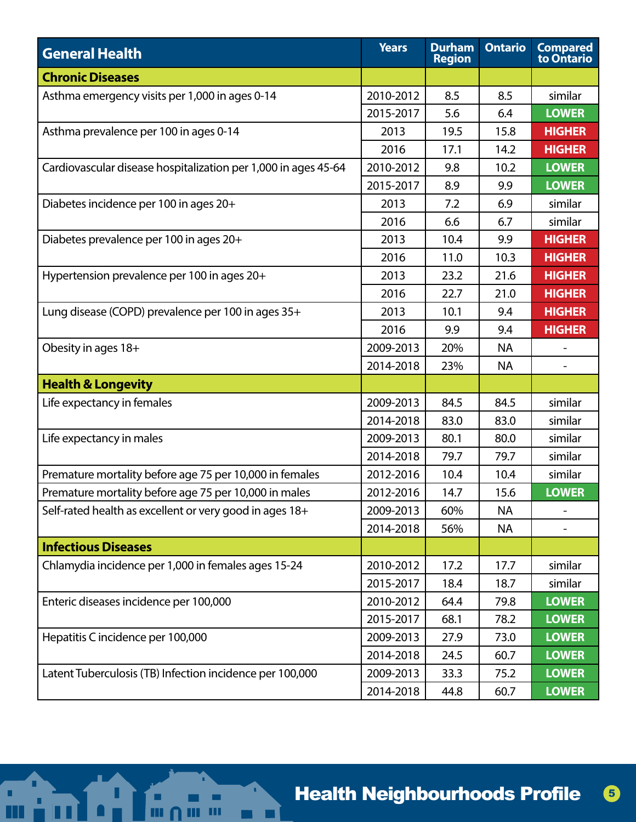| <b>General Health</b>                                          | <b>Years</b> | <b>Durham</b><br><b>Region</b> | <b>Ontario</b> | <b>Compared</b><br>to Ontario |
|----------------------------------------------------------------|--------------|--------------------------------|----------------|-------------------------------|
| <b>Chronic Diseases</b>                                        |              |                                |                |                               |
| Asthma emergency visits per 1,000 in ages 0-14                 | 2010-2012    | 8.5                            | 8.5            | similar                       |
|                                                                | 2015-2017    | 5.6                            | 6.4            | <b>LOWER</b>                  |
| Asthma prevalence per 100 in ages 0-14                         | 2013         | 19.5                           | 15.8           | <b>HIGHER</b>                 |
|                                                                | 2016         | 17.1                           | 14.2           | <b>HIGHER</b>                 |
| Cardiovascular disease hospitalization per 1,000 in ages 45-64 | 2010-2012    | 9.8                            | 10.2           | <b>LOWER</b>                  |
|                                                                | 2015-2017    | 8.9                            | 9.9            | <b>LOWER</b>                  |
| Diabetes incidence per 100 in ages 20+                         | 2013         | 7.2                            | 6.9            | similar                       |
|                                                                | 2016         | 6.6                            | 6.7            | similar                       |
| Diabetes prevalence per 100 in ages 20+                        | 2013         | 10.4                           | 9.9            | <b>HIGHER</b>                 |
|                                                                | 2016         | 11.0                           | 10.3           | <b>HIGHER</b>                 |
| Hypertension prevalence per 100 in ages 20+                    | 2013         | 23.2                           | 21.6           | <b>HIGHER</b>                 |
|                                                                | 2016         | 22.7                           | 21.0           | <b>HIGHER</b>                 |
| Lung disease (COPD) prevalence per 100 in ages 35+             | 2013         | 10.1                           | 9.4            | <b>HIGHER</b>                 |
|                                                                | 2016         | 9.9                            | 9.4            | <b>HIGHER</b>                 |
| Obesity in ages 18+                                            | 2009-2013    | 20%                            | <b>NA</b>      |                               |
|                                                                | 2014-2018    | 23%                            | <b>NA</b>      |                               |
| <b>Health &amp; Longevity</b>                                  |              |                                |                |                               |
| Life expectancy in females                                     | 2009-2013    | 84.5                           | 84.5           | similar                       |
|                                                                | 2014-2018    | 83.0                           | 83.0           | similar                       |
| Life expectancy in males                                       | 2009-2013    | 80.1                           | 80.0           | similar                       |
|                                                                | 2014-2018    | 79.7                           | 79.7           | similar                       |
| Premature mortality before age 75 per 10,000 in females        | 2012-2016    | 10.4                           | 10.4           | similar                       |
| Premature mortality before age 75 per 10,000 in males          | 2012-2016    | 14.7                           | 15.6           | <b>LOWER</b>                  |
| Self-rated health as excellent or very good in ages 18+        | 2009-2013    | 60%                            | ΝA             |                               |
|                                                                | 2014-2018    | 56%                            | <b>NA</b>      |                               |
| <b>Infectious Diseases</b>                                     |              |                                |                |                               |
| Chlamydia incidence per 1,000 in females ages 15-24            | 2010-2012    | 17.2                           | 17.7           | similar                       |
|                                                                | 2015-2017    | 18.4                           | 18.7           | similar                       |
| Enteric diseases incidence per 100,000                         | 2010-2012    | 64.4                           | 79.8           | <b>LOWER</b>                  |
|                                                                | 2015-2017    | 68.1                           | 78.2           | <b>LOWER</b>                  |
| Hepatitis C incidence per 100,000                              | 2009-2013    | 27.9                           | 73.0           | <b>LOWER</b>                  |
|                                                                | 2014-2018    | 24.5                           | 60.7           | <b>LOWER</b>                  |
| Latent Tuberculosis (TB) Infection incidence per 100,000       | 2009-2013    | 33.3                           | 75.2           | <b>LOWER</b>                  |
|                                                                | 2014-2018    | 44.8                           | 60.7           | <b>LOWER</b>                  |

٠

 $\blacksquare$ 

Ш

٠

m

ш

m

П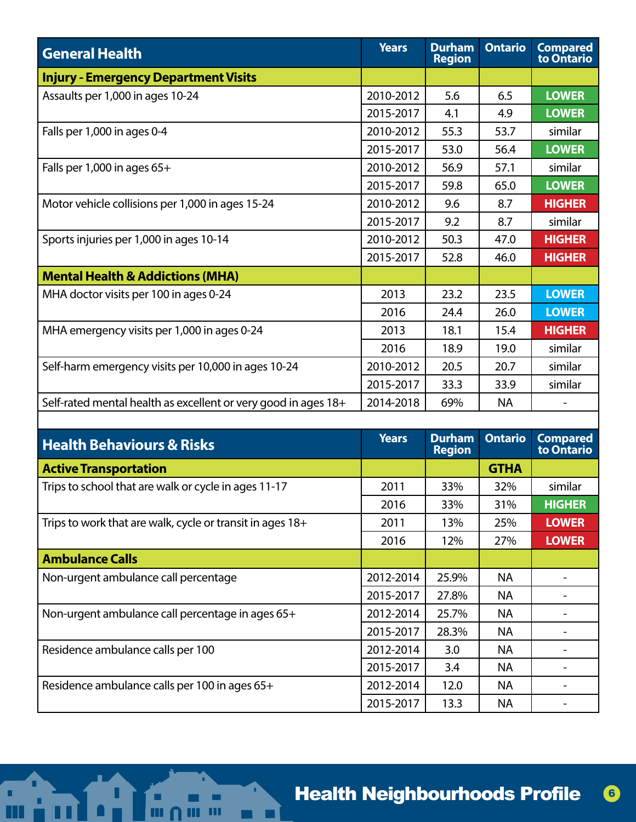| <b>General Health</b>                                          | <b>Years</b> | <b>Durham</b><br><b>Region</b> | <b>Ontario</b> | <b>Compared</b><br>to Ontario |
|----------------------------------------------------------------|--------------|--------------------------------|----------------|-------------------------------|
| Injury - Emergency Department Visits                           |              |                                |                |                               |
| Assaults per 1,000 in ages 10-24                               | 2010-2012    | 5.6                            | 6.5            | <b>LOWER</b>                  |
|                                                                | 2015-2017    | 4.1                            | 4.9            | <b>LOWER</b>                  |
| Falls per 1,000 in ages 0-4                                    | 2010-2012    | 55.3                           | 53.7           | similar                       |
|                                                                | 2015-2017    | 53.0                           | 56.4           | <b>LOWER</b>                  |
| Falls per $1,000$ in ages $65+$                                | 2010-2012    | 56.9                           | 57.1           | similar                       |
|                                                                | 2015-2017    | 59.8                           | 65.0           | <b>LOWER</b>                  |
| Motor vehicle collisions per 1,000 in ages 15-24               | 2010-2012    | 9.6                            | 8.7            | <b>HIGHER</b>                 |
|                                                                | 2015-2017    | 9.2                            | 8.7            | similar                       |
| Sports injuries per 1,000 in ages 10-14                        | 2010-2012    | 50.3                           | 47.0           | <b>HIGHER</b>                 |
|                                                                | 2015-2017    | 52.8                           | 46.0           | <b>HIGHER</b>                 |
| <b>Mental Health &amp; Addictions (MHA)</b>                    |              |                                |                |                               |
| MHA doctor visits per 100 in ages 0-24                         | 2013         | 23.2                           | 23.5           | <b>LOWER</b>                  |
|                                                                | 2016         | 24.4                           | 26.0           | <b>LOWER</b>                  |
| MHA emergency visits per 1,000 in ages 0-24                    | 2013         | 18.1                           | 15.4           | <b>HIGHER</b>                 |
|                                                                | 2016         | 18.9                           | 19.0           | similar                       |
| Self-harm emergency visits per 10,000 in ages 10-24            | 2010-2012    | 20.5                           | 20.7           | similar                       |
|                                                                | 2015-2017    | 33.3                           | 33.9           | similar                       |
| Self-rated mental health as excellent or very good in ages 18+ | 2014-2018    | 69%                            | NA.            |                               |
|                                                                |              |                                |                |                               |

| <b>Health Behaviours &amp; Risks</b>                      | Years     | <b>Durham</b><br><b>Region</b> | <b>Ontario</b> | <b>Compared</b><br>to Ontario |
|-----------------------------------------------------------|-----------|--------------------------------|----------------|-------------------------------|
| <b>Active Transportation</b>                              |           |                                | <b>GTHA</b>    |                               |
| Trips to school that are walk or cycle in ages 11-17      | 2011      | 33%                            | 32%            | similar                       |
|                                                           | 2016      | 33%                            | 31%            | <b>HIGHER</b>                 |
| Trips to work that are walk, cycle or transit in ages 18+ | 2011      | 13%                            | 25%            | <b>LOWER</b>                  |
|                                                           | 2016      | 12%                            | 27%            | <b>LOWER</b>                  |
| <b>Ambulance Calls</b>                                    |           |                                |                |                               |
| Non-urgent ambulance call percentage                      | 2012-2014 | 25.9%                          | <b>NA</b>      |                               |
|                                                           | 2015-2017 | 27.8%                          | NA             |                               |
| Non-urgent ambulance call percentage in ages 65+          | 2012-2014 | 25.7%                          | <b>NA</b>      |                               |
|                                                           | 2015-2017 | 28.3%                          | NA.            |                               |
| Residence ambulance calls per 100                         | 2012-2014 | 3.0                            | <b>NA</b>      |                               |
|                                                           | 2015-2017 | 3.4                            | <b>NA</b>      |                               |
| Residence ambulance calls per 100 in ages 65+             | 2012-2014 | 12.0                           | <b>NA</b>      |                               |
|                                                           | 2015-2017 | 13.3                           | NA.            |                               |

П

ż.

L

٠  $\mathbf{m}$ 

Ш

m

ī.